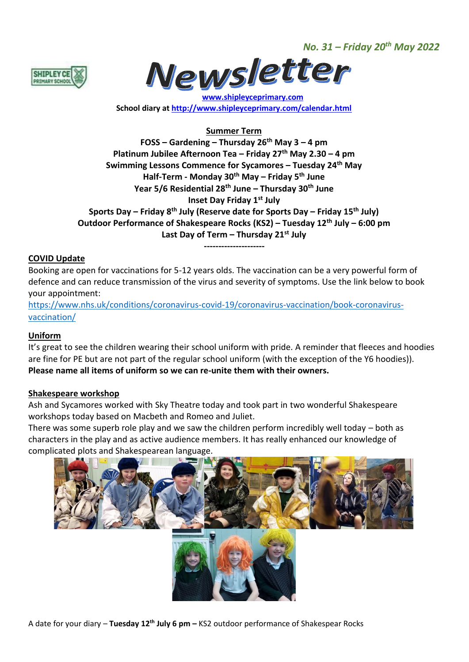*No. 31 – Friday 20th May 2022*





 **[www.shipleyceprimary.com](http://www.shipleyceprimary.com/) School diary a[t http://www.shipleyceprimary.com/calendar.html](http://www.shipleyceprimary.com/calendar.html)**

# **Summer Term**

**FOSS – Gardening – Thursday 26th May 3 – 4 pm Platinum Jubilee Afternoon Tea – Friday 27th May 2.30 – 4 pm Swimming Lessons Commence for Sycamores – Tuesday 24th May Half-Term - Monday 30th May – Friday 5th June Year 5/6 Residential 28th June – Thursday 30th June Inset Day Friday 1st July Sports Day – Friday 8th July (Reserve date for Sports Day – Friday 15th July) Outdoor Performance of Shakespeare Rocks (KS2) – Tuesday 12th July – 6:00 pm Last Day of Term – Thursday 21st July**

**---------------------**

# **COVID Update**

Booking are open for vaccinations for 5-12 years olds. The vaccination can be a very powerful form of defence and can reduce transmission of the virus and severity of symptoms. Use the link below to book your appointment:

[https://www.nhs.uk/conditions/coronavirus-covid-19/coronavirus-vaccination/book-coronavirus](https://www.nhs.uk/conditions/coronavirus-covid-19/coronavirus-vaccination/book-coronavirus-vaccination/)[vaccination/](https://www.nhs.uk/conditions/coronavirus-covid-19/coronavirus-vaccination/book-coronavirus-vaccination/)

# **Uniform**

It's great to see the children wearing their school uniform with pride. A reminder that fleeces and hoodies are fine for PE but are not part of the regular school uniform (with the exception of the Y6 hoodies)). **Please name all items of uniform so we can re-unite them with their owners.** 

#### **Shakespeare workshop**

Ash and Sycamores worked with Sky Theatre today and took part in two wonderful Shakespeare workshops today based on Macbeth and Romeo and Juliet.

There was some superb role play and we saw the children perform incredibly well today – both as characters in the play and as active audience members. It has really enhanced our knowledge of complicated plots and Shakespearean language.